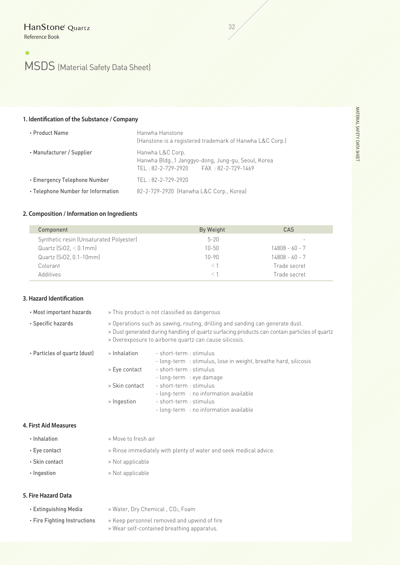# (L MSDS (Material Safety Data Sheet)

#### **1. Identifcation of the Substance / Company**

| • Product Name                     | Hanwha Hanstone<br>(Hanstone is a registered trademark of Hanwha L&C Corp.)                                      |  |
|------------------------------------|------------------------------------------------------------------------------------------------------------------|--|
| • Manufacturer / Supplier          | Hanwha L&C Corp.<br>Hanwha Bldg., 1 Janggyo-dong, Jung-gu, Seoul, Korea<br>TEL: 82-2-729-2920 FAX: 82-2-729-1469 |  |
| • Emergency Telephone Number       | TEL: 82-2-729-2920                                                                                               |  |
| • Telephone Number for Information | 82-2-729-2920 (Hanwha L&C Corp., Korea)                                                                          |  |

### **2. Composition / Information on Ingredients**

| By Weight | CAS                      |
|-----------|--------------------------|
| $5 - 20$  | $\overline{\phantom{a}}$ |
| $10 - 50$ | 14808 - 60 - 7           |
| $10 - 90$ | $14808 - 60 - 7$         |
|           | Trade secret             |
|           | Trade secret             |
|           |                          |

|<br>|32 || || ||<br>|1

# **3. Hazard Identifcation**

| • Most important hazards     | » This product is not classified as dangerous                                                                                                                                                                                            |                                                                                                                                                   |  |  |
|------------------------------|------------------------------------------------------------------------------------------------------------------------------------------------------------------------------------------------------------------------------------------|---------------------------------------------------------------------------------------------------------------------------------------------------|--|--|
| • Specific hazards           | » Operations such as sawing, routing, drilling and sanding can generate dust.<br>» Dust generated during handling of quartz surfacing products can contain particles of quartz<br>» Overexposure to airborne quartz can cause silicosis. |                                                                                                                                                   |  |  |
| • Particles of quartz (dust) | » Inhalation<br>» Eye contact                                                                                                                                                                                                            | - short-term : stimulus<br>- long-term : stimulus, lose in weight, breathe hard, silicosis<br>- short-term : stimulus<br>- long-term : eye damage |  |  |
|                              | » Skin contact                                                                                                                                                                                                                           | - short-term : stimulus<br>- long-term : no information available                                                                                 |  |  |
|                              | $\ast$ Ingestion                                                                                                                                                                                                                         | - short-term : stimulus<br>- long-term : no information available                                                                                 |  |  |

#### **4. First Aid Measures**

» Move to fresh air

- 
- 
- •Eye contact » Rinse immediately with plenty of water and seek medical advice.
- •Skin contact » Not applicable
- 
- •Ingestion » Not applicable

### **5. Fire Hazard Data**

- 
- •Extinguishing Media» Water, Dry Chemical , CO2, Foam
- 
- •Fire Fighting Instructions » Keep personnel removed and upwind of fire
	- » Wear self-contained breathing apparatus.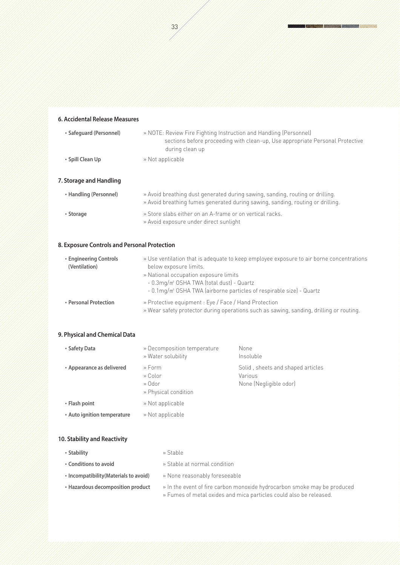**6. Accidental Release Measures** •**Safeguard (Personnel)** » NOTE: Review Fire Fighting Instruction and Handling (Personnel) sections before proceeding with clean-up, Use appropriate Personal Protective during clean up •**Spill Clean Up** » Not applicable **7. Storage and Handling** •**Handling (Personnel)** » Avoid breathing dust generated during sawing, sanding, routing or drilling. » Avoid breathing fumes generated during sawing, sanding, routing or drilling.

## **8. Exposure Controls and Personal Protection**

| • Engineering Controls<br>(Ventilation) | » Use ventilation that is adequate to keep employee exposure to air borne concentrations<br>below exposure limits.<br>» National occupation exposure limits<br>- 0.3mg/m <sup>2</sup> OSHA TWA (total dust) - Quartz                 |  |  |
|-----------------------------------------|--------------------------------------------------------------------------------------------------------------------------------------------------------------------------------------------------------------------------------------|--|--|
| • Personal Protection                   | - 0.1mg/m <sup>2</sup> OSHA TWA (airborne particles of respirable size) - Quartz<br>» Protective equipment : Eye / Face / Hand Protection<br>» Wear safety protector during operations such as sawing, sanding, drilling or routing. |  |  |

## **9. Physical and Chemical Data**

| • Safety Data               | » Decomposition temperature<br>» Water solubility   | None<br>Insoluble                                                      |
|-----------------------------|-----------------------------------------------------|------------------------------------------------------------------------|
| • Appearance as delivered   | » Form<br>» Color<br>» Odor<br>» Physical condition | Solid, sheets and shaped articles<br>Various<br>None (Negligible odor) |
| • Flash point               | » Not applicable                                    |                                                                        |
| • Auto ignition temperature | » Not applicable                                    |                                                                        |

### **10. Stability and Reactivity**

| • Stability                            | » Stable                                                                                                                                       |  |
|----------------------------------------|------------------------------------------------------------------------------------------------------------------------------------------------|--|
| • Conditions to avoid                  | » Stable at normal condition                                                                                                                   |  |
| • Incompatibility (Materials to avoid) | » None reasonably foreseeable                                                                                                                  |  |
| • Hazardous decomposition product      | » In the event of fire carbon monoxide hydrocarbon smoke may be produced<br>» Fumes of metal oxides and mica particles could also be released. |  |

•**Storage** » Store slabs either on an A-frame or on vertical racks.

» Avoid exposure under direct sunlight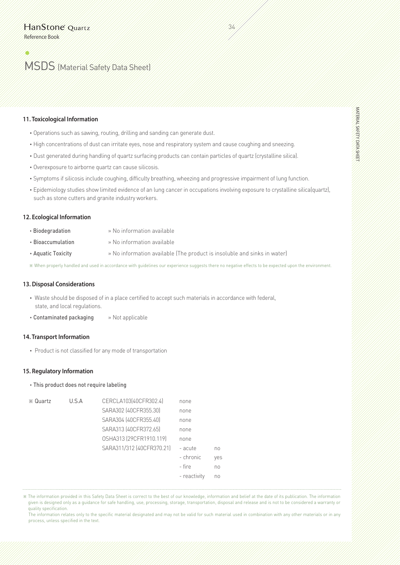# (L MSDS (Material Safety Data Sheet)

#### **11. Toxicological Information**

- •Operations such as sawing, routing, drilling and sanding can generate dust.
- •High concentrations of dust can irritate eyes, nose and respiratory system and cause coughing and sneezing.
- •Dust generated during handling of quartz surfacing products can contain particles of quartz (crystalline silica).
- •Overexposure to airborne quartz can cause silicosis.
- •Symptoms if silicosis include coughing, difficulty breathing, wheezing and progressive impairment of lung function.
- •Epidemiology studies show limited evidence of an lung cancer in occupations involving exposure to crystalline silica(quartz), such as stone cutters and granite industry workers.

34/1/1<br>34/1/1

#### **12. Ecological Information**

- •Biodegradation » No information available
- •Bioaccumulation » No information available
- •Aquatic Toxicity » No information available (The product is insoluble and sinks in water)

※ When properly handled and used in accordance with guidelines our experience suggests there no negative effects to be expected upon the environment.

## **13. Disposal Considerations**

- Waste should be disposed of in a place certified to accept such materials in accordance with federal, state, and local regulations.
- •Contaminated packaging » Not applicable

#### **14. Transport Information**

• Product is not classified for any mode of transportation

#### **15. Regulatory Information**

## •This product does not require labeling

| ※ Quartz | U.S.A | CERCLA103(40CFR302.4)     | none         |     |
|----------|-------|---------------------------|--------------|-----|
|          |       | SARA302 (40CFR355.30)     | none         |     |
|          |       | SARA304 [40CFR355.40]     | none         |     |
|          |       | SARA313 [40CFR372.65]     | none         |     |
|          |       | OSHA313 (29CFR1910.119)   | none         |     |
|          |       | SARA311/312 [40CFR370.21] | - acute      | no  |
|          |       |                           | - chronic    | yes |
|          |       |                           | - fire       | no  |
|          |       |                           | - reactivity | no  |
|          |       |                           |              |     |

※ The information provided in this Safety Data Sheet is correct to the best of our knowledge, information and belief at the date of its publication. The information given is designed only as a guidance for safe handling, use, processing, storage, transportation, disposal and release and is not to be considered a warranty or quality specification.

 The information relates only to the specific material designated and may not be valid for such material used in combination with any other materials or in any process, unless specified in the text.